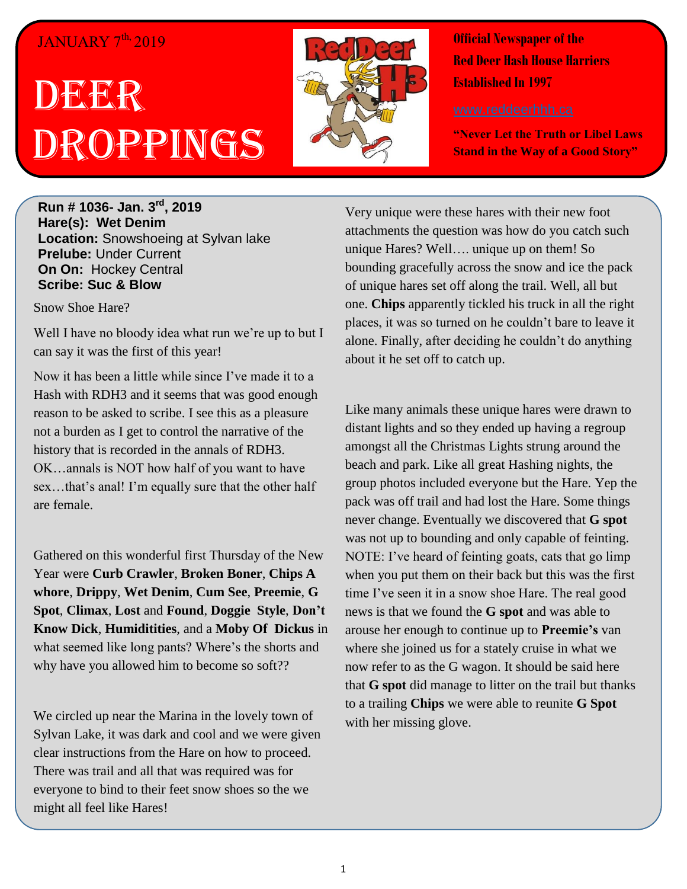## JANUARY 7<sup>th,</sup> 2019

# DEGER Droppings



**Official Newspaper of the Red Deer Hash House Harriers Established In 1997** 

**"Never Let the Truth or Libel Laws Stand in the Way of a Good Story"**

**Run # 1036- Jan. 3 rd, 2019 Hare(s): Wet Denim Location:** Snowshoeing at Sylvan lake **Prelube:** Under Current **On On:** Hockey Central **Scribe: Suc & Blow**

Snow Shoe Hare?

Well I have no bloody idea what run we're up to but I can say it was the first of this year!

Now it has been a little while since I've made it to a Hash with RDH3 and it seems that was good enough reason to be asked to scribe. I see this as a pleasure not a burden as I get to control the narrative of the history that is recorded in the annals of RDH3. OK…annals is NOT how half of you want to have sex…that's anal! I'm equally sure that the other half are female.

Gathered on this wonderful first Thursday of the New Year were **Curb Crawler**, **Broken Boner**, **Chips A whore**, **Drippy**, **Wet Denim**, **Cum See**, **Preemie**, **G Spot**, **Climax**, **Lost** and **Found**, **Doggie Style**, **Don't Know Dick**, **Humiditities**, and a **Moby Of Dickus** in what seemed like long pants? Where's the shorts and why have you allowed him to become so soft??

We circled up near the Marina in the lovely town of Sylvan Lake, it was dark and cool and we were given clear instructions from the Hare on how to proceed. There was trail and all that was required was for everyone to bind to their feet snow shoes so the we might all feel like Hares!

Very unique were these hares with their new foot attachments the question was how do you catch such unique Hares? Well…. unique up on them! So bounding gracefully across the snow and ice the pack of unique hares set off along the trail. Well, all but one. **Chips** apparently tickled his truck in all the right places, it was so turned on he couldn't bare to leave it alone. Finally, after deciding he couldn't do anything about it he set off to catch up.

Like many animals these unique hares were drawn to distant lights and so they ended up having a regroup amongst all the Christmas Lights strung around the beach and park. Like all great Hashing nights, the group photos included everyone but the Hare. Yep the pack was off trail and had lost the Hare. Some things never change. Eventually we discovered that **G spot** was not up to bounding and only capable of feinting. NOTE: I've heard of feinting goats, cats that go limp when you put them on their back but this was the first time I've seen it in a snow shoe Hare. The real good news is that we found the **G spot** and was able to arouse her enough to continue up to **Preemie's** van where she joined us for a stately cruise in what we now refer to as the G wagon. It should be said here that **G spot** did manage to litter on the trail but thanks to a trailing **Chips** we were able to reunite **G Spot** with her missing glove.